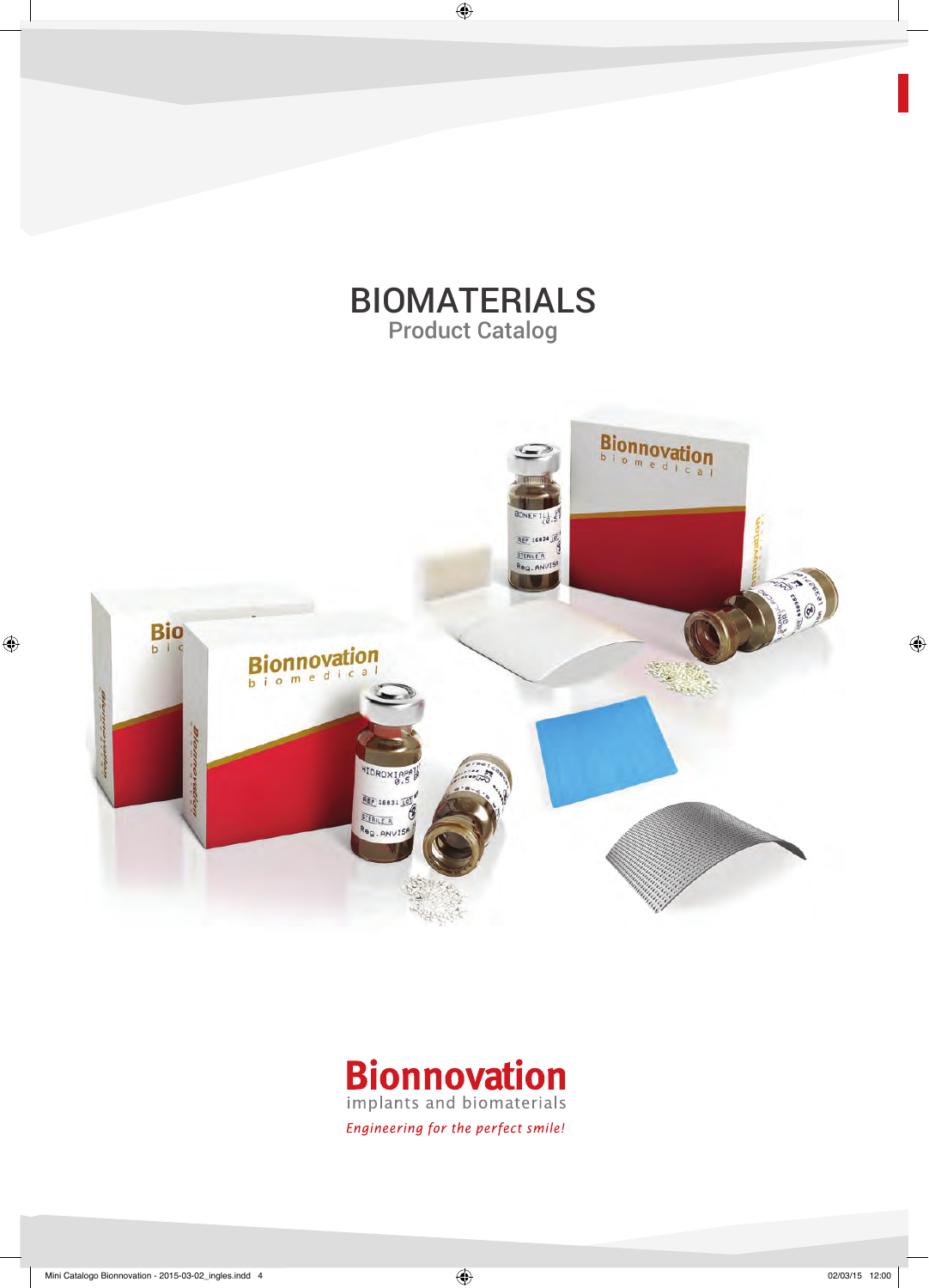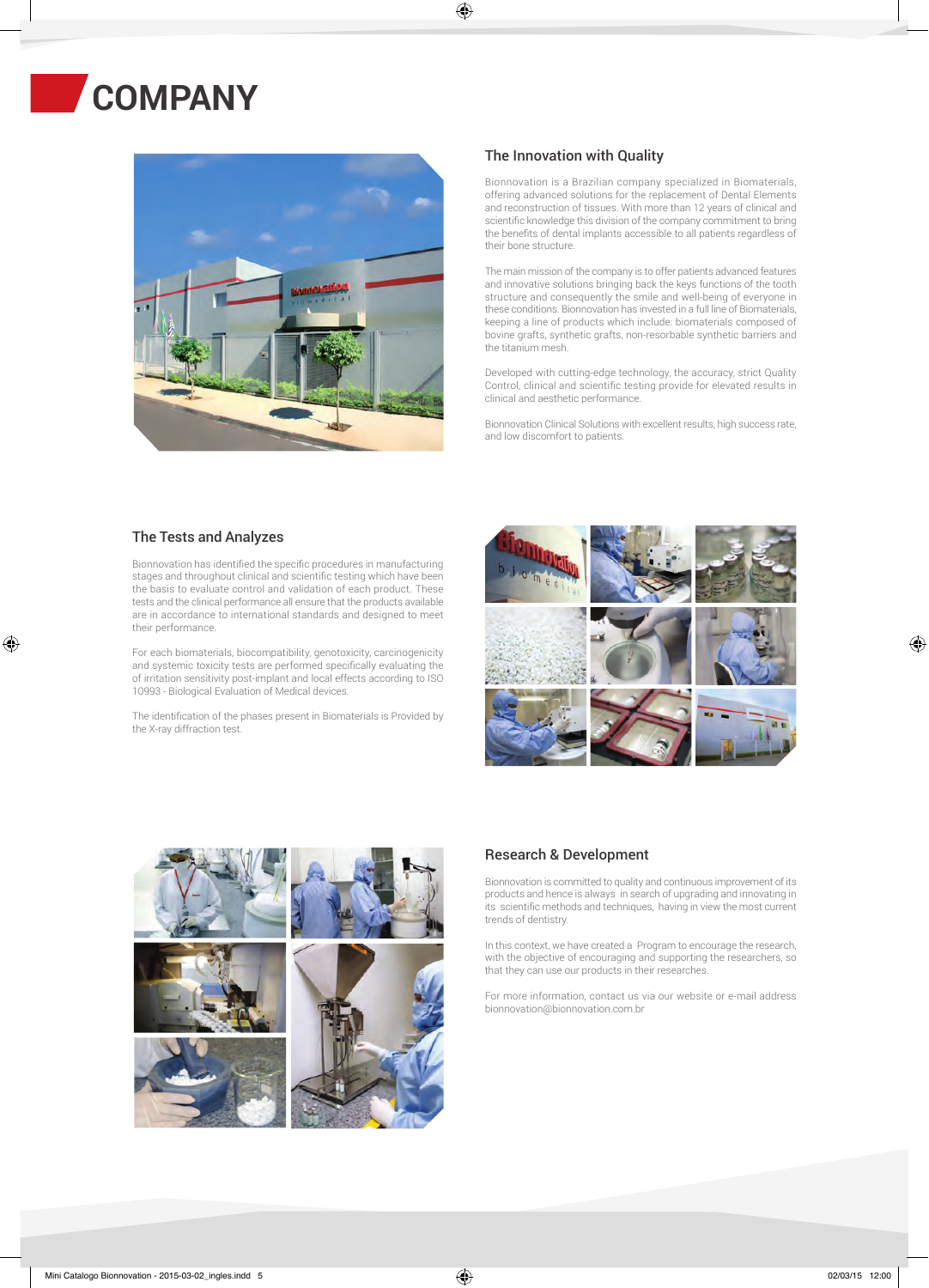# **COMPANY**



### The Innovation with Quality

Bionnovation is a Brazilian company specialized in Biomaterials, offering advanced solutions for the replacement of Dental Elements and reconstruction of tissues. With more than 12 years of clinical and scientific knowledge this division of the company commitment to bring the benefits of dental implants accessible to all patients regardless of their bone structure.

The main mission of the company is to offer patients advanced features and innovative solutions bringing back the keys functions of the tooth structure and consequently the smile and well-being of everyone in these conditions. Bionnovation has invested in a full line of Biomaterials, keeping a line of products which include: biomaterials composed of bovine grafts, synthetic grafts, non-resorbable synthetic barriers and the titanium mesh.

Developed with cutting-edge technology, the accuracy, strict Quality Control, clinical and scientific testing provide for elevated results in clinical and aesthetic performance.

Bionnovation Clinical Solutions with excellent results, high success rate, and low discomfort to patients.

#### The Tests and Analyzes

 $\bigoplus$ 

Bionnovation has identified the specific procedures in manufacturing stages and throughout clinical and scientific testing which have been the basis to evaluate control and validation of each product. These tests and the clinical performance all ensure that the products available are in accordance to international standards and designed to meet their performance.

For each biomaterials, biocompatibility, genotoxicity, carcinogenicity and systemic toxicity tests are performed specifically evaluating the of irritation sensitivity post-implant and local effects according to ISO 10993 - Biological Evaluation of Medical devices.

The identification of the phases present in Biomaterials is Provided by the X-ray diffraction test.





### Research & Development

Bionnovation is committed to quality and continuous improvement of its products and hence is always in search of upgrading and innovating in its scientific methods and techniques, having in view the most current trends of dentistry.

In this context, we have created a Program to encourage the research, with the objective of encouraging and supporting the researchers, so that they can use our products in their researches.

For more information, contact us via our website or e-mail address bionnovation@bionnovation.com.br

⊕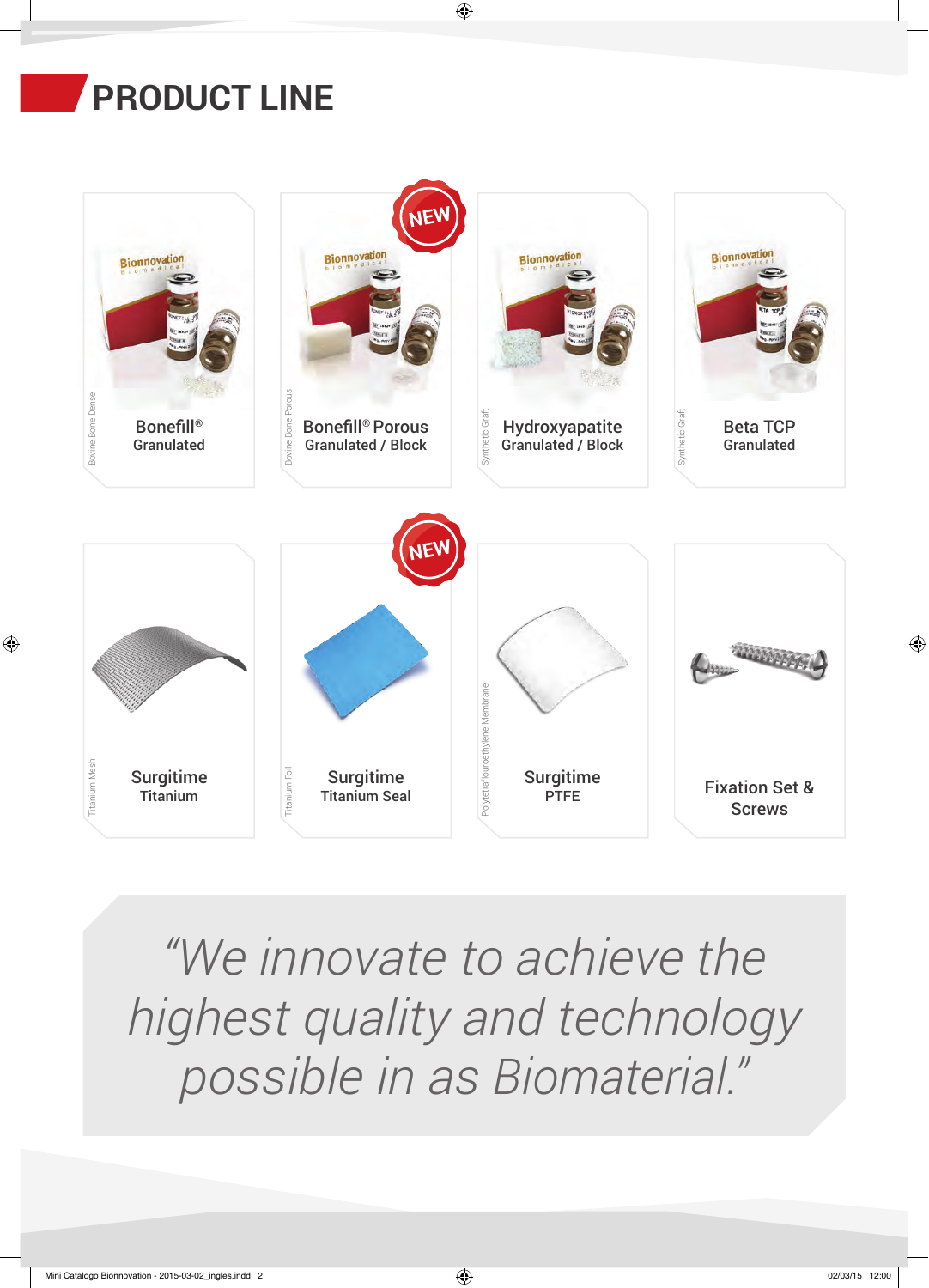## **PRODUCT LINE**



 $\bigoplus$ 

*"We innovate to achieve the highest quality and technology possible in as Biomaterial."*

 $\bigoplus$ 

 $\bigoplus$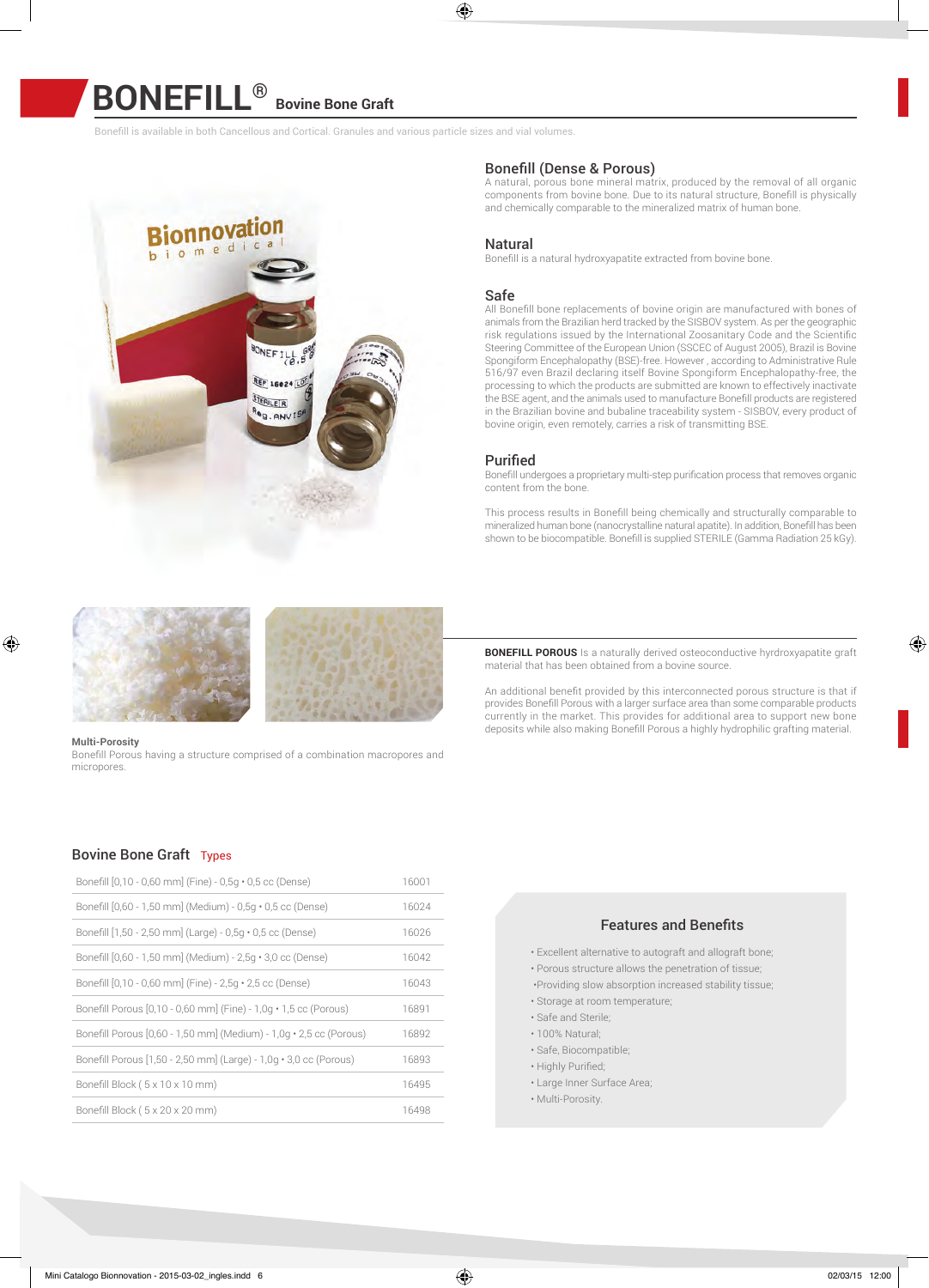$\bigoplus$ 

## **BONEFILL® Bovine Bone Graft**

Bonefill is available in both Cancellous and Cortical. Granules and various particle sizes and vial volumes.



#### Bonefill (Dense & Porous)

A natural, porous bone mineral matrix, produced by the removal of all organic components from bovine bone. Due to its natural structure, Bonefill is physically and chemically comparable to the mineralized matrix of human bone.

#### Natural

Bonefill is a natural hydroxyapatite extracted from bovine bone.

#### Safe

All Bonefill bone replacements of bovine origin are manufactured with bones of animals from the Brazilian herd tracked by the SISBOV system. As per the geographic risk regulations issued by the International Zoosanitary Code and the Scientific Steering Committee of the European Union (SSCEC of August 2005), Brazil is Bovine Spongiform Encephalopathy (BSE)-free. However , according to Administrative Rule 516/97 even Brazil declaring itself Bovine Spongiform Encephalopathy-free, the processing to which the products are submitted are known to effectively inactivate the BSE agent, and the animals used to manufacture Bonefill products are registered in the Brazilian bovine and bubaline traceability system - SISBOV, every product of bovine origin, even remotely, carries a risk of transmitting BSE.

#### Purified

Bonefill undergoes a proprietary multi-step purification process that removes organic content from the bone.

This process results in Bonefill being chemically and structurally comparable to mineralized human bone (nanocrystalline natural apatite). In addition, Bonefill has been shown to be biocompatible. Bonefill is supplied STERILE (Gamma Radiation 25 kGy).

#### **Multi-Porosity**

⊕

Bonefill Porous having a structure comprised of a combination macropores and micropores.

**BONEFILL POROUS** Is a naturally derived osteoconductive hyrdroxyapatite graft material that has been obtained from a bovine source.

An additional benefit provided by this interconnected porous structure is that if provides Bonefill Porous with a larger surface area than some comparable products currently in the market. This provides for additional area to support new bone deposits while also making Bonefill Porous a highly hydrophilic grafting material.



| Bonefill $[0,10 - 0,60$ mm] (Fine) - $0,5q \cdot 0,5$ cc (Dense)          | 16001 |
|---------------------------------------------------------------------------|-------|
| Bonefill [0,60 - 1,50 mm] (Medium) - 0,5g · 0,5 cc (Dense)                | 16024 |
| Bonefill [1,50 - 2,50 mm] (Large) - 0,5g · 0,5 cc (Dense)                 | 16026 |
| Bonefill [0,60 - 1,50 mm] (Medium) - 2,5g · 3,0 cc (Dense)                | 16042 |
| Bonefill [0,10 - 0,60 mm] (Fine) - 2,5q · 2,5 cc (Dense)                  | 16043 |
| Bonefill Porous [0,10 - 0,60 mm] (Fine) - 1,0g · 1,5 cc (Porous)          | 16891 |
| Bonefill Porous [0,60 - 1,50 mm] (Medium) - 1,0g · 2,5 cc (Porous)        | 16892 |
| Bonefill Porous $[1,50 - 2,50$ mm] (Large) - $1,0g \cdot 3,0$ cc (Porous) | 16893 |
| Bonefill Block (5 x 10 x 10 mm)                                           | 16495 |
| Bonefill Block (5 x 20 x 20 mm)                                           | 16498 |



- Excellent alternative to autograft and allograft bone;
- Porous structure allows the penetration of tissue;
- •Providing slow absorption increased stability tissue;
- Storage at room temperature;
- Safe and Sterile;
- 100% Natural;
- Safe, Biocompatible;
- Highly Purified;
- Large Inner Surface Area;
- Multi-Porosity.

 $\bigoplus$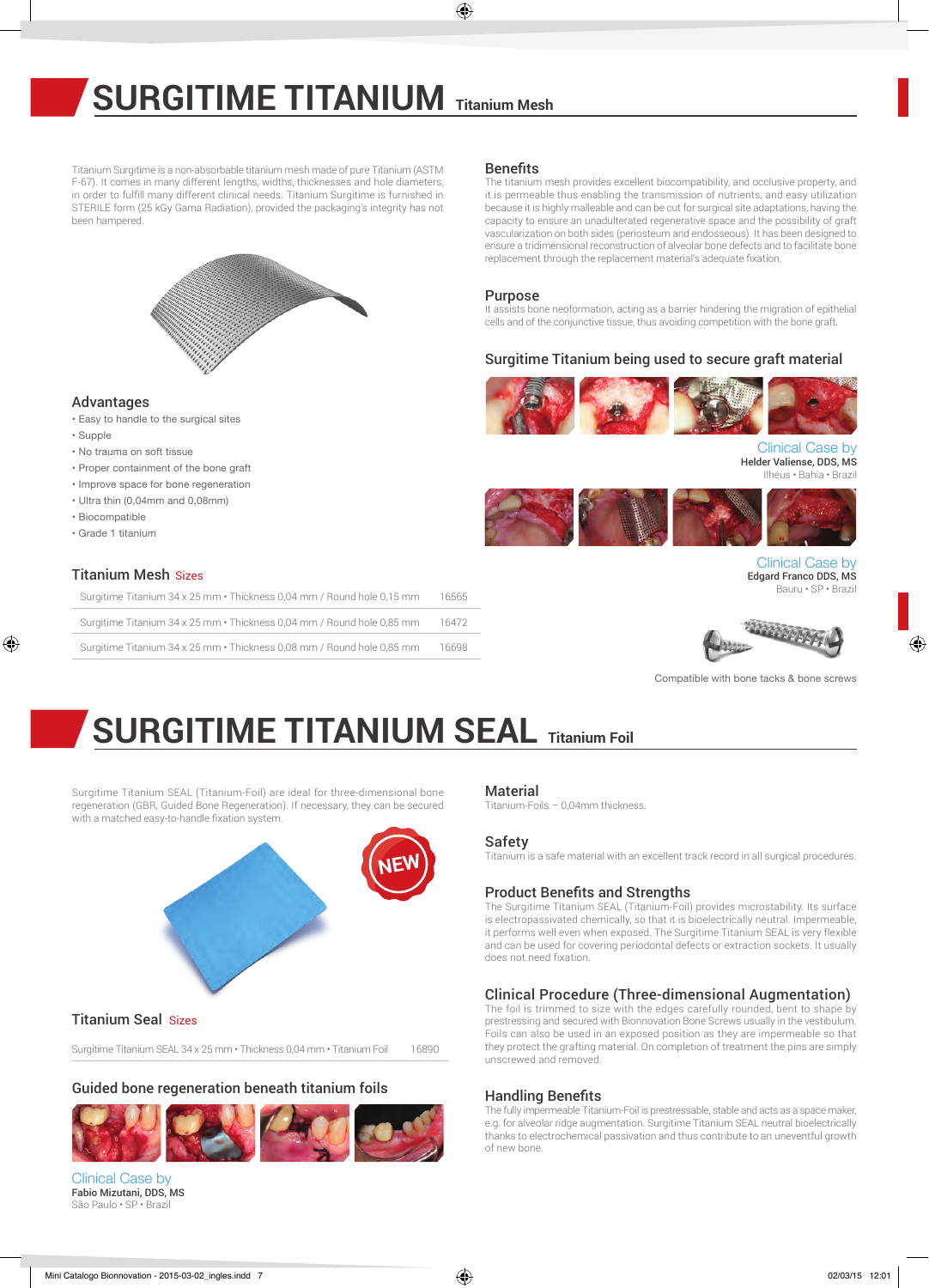## **SURGITIME TITANIUM Titanium Mesh**

Titanium Surgitime is a non-absorbable titanium mesh made of pure Titanium (ASTM F-67). It comes in many different lengths, widths, thicknesses and hole diameters, in order to fulfill many different clinical needs. Titanium Surgitime is furnished in STERILE form (25 kGy Gama Radiation), provided the packaging's integrity has not been hampered.



#### Advantages

- Easy to handle to the surgical sites
- Supple

⊕

- No trauma on soft tissue
- Proper containment of the bone graft
- Improve space for bone regeneration
- Ultra thin (0,04mm and 0,08mm)
- Biocompatible
- Grade 1 titanium

#### Titanium Mesh Sizes

| Surgitime Titanium 34 x 25 mm · Thickness 0,04 mm / Round hole 0,15 mm | 16565 |
|------------------------------------------------------------------------|-------|
| Surgitime Titanium 34 x 25 mm · Thickness 0,04 mm / Round hole 0,85 mm | 16472 |
| Surgitime Titanium 34 x 25 mm · Thickness 0.08 mm / Round hole 0.85 mm | 16698 |

#### Benefits

⊕

The titanium mesh provides excellent biocompatibility, and occlusive property, and it is permeable thus enabling the transmission of nutrients, and easy utilization because it is highly malleable and can be cut for surgical site adaptations, having the capacity to ensure an unadulterated regenerative space and the possibility of graft vascularization on both sides (periosteum and endosseous). It has been designed to ensure a tridimensional reconstruction of alveolar bone defects and to facilitate bone replacement through the replacement material's adequate fixation.

#### Purpose

It assists bone neoformation, acting as a barrier hindering the migration of epithelial cells and of the conjunctive tissue, thus avoiding competition with the bone graft.

#### Surgitime Titanium being used to secure graft material



Clinical Case by Helder Valiense, DDS, MS Ilhéus • Bahia • Brazil



Clinical Case by Edgard Franco DDS, MS Bauru • SP • Brazil

⊕



Compatible with bone tacks & bone screws

## **SURGITIME TITANIUM SEAL Titanium Foil**

Surgitime Titanium SEAL (Titanium-Foil) are ideal for three-dimensional bone regeneration (GBR, Guided Bone Regeneration). If necessary, they can be secured with a matched easy-to-handle fixation system.



#### Titanium Seal Sizes

Surgitime Titanium SEAL 34 x 25 mm · Thickness 0,04 mm · Titanium Foil 16890

### Guided bone regeneration beneath titanium foils



Clinical Case by Fabio Mizutani, DDS, MS São Paulo • SP • Brazil

#### **Material**

Titanium-Foils – 0,04mm thickness.

#### Safety

Titanium is a safe material with an excellent track record in all surgical procedures.

#### Product Benefits and Strengths

The Surgitime Titanium SEAL (Titanium-Foil) provides microstability. Its surface is electropassivated chemically, so that it is bioelectrically neutral. Impermeable, it performs well even when exposed. The Surgitime Titanium SEAL is very flexible and can be used for covering periodontal defects or extraction sockets. It usually does not need fixation.

#### Clinical Procedure (Three-dimensional Augmentation)

The foil is trimmed to size with the edges carefully rounded, bent to shape by prestressing and secured with Bionnovation Bone Screws usually in the vestibulum. Foils can also be used in an exposed position as they are impermeable so that they protect the grafting material. On completion of treatment the pins are simply unscrewed and removed.

#### Handling Benefits

The fully impermeable Titanium-Foil is prestressable, stable and acts as a space maker, e.g. for alveolar ridge augmentation. Surgitime Titanium SEAL neutral bioelectrically thanks to electrochemical passivation and thus contribute to an uneventful growth of new bone.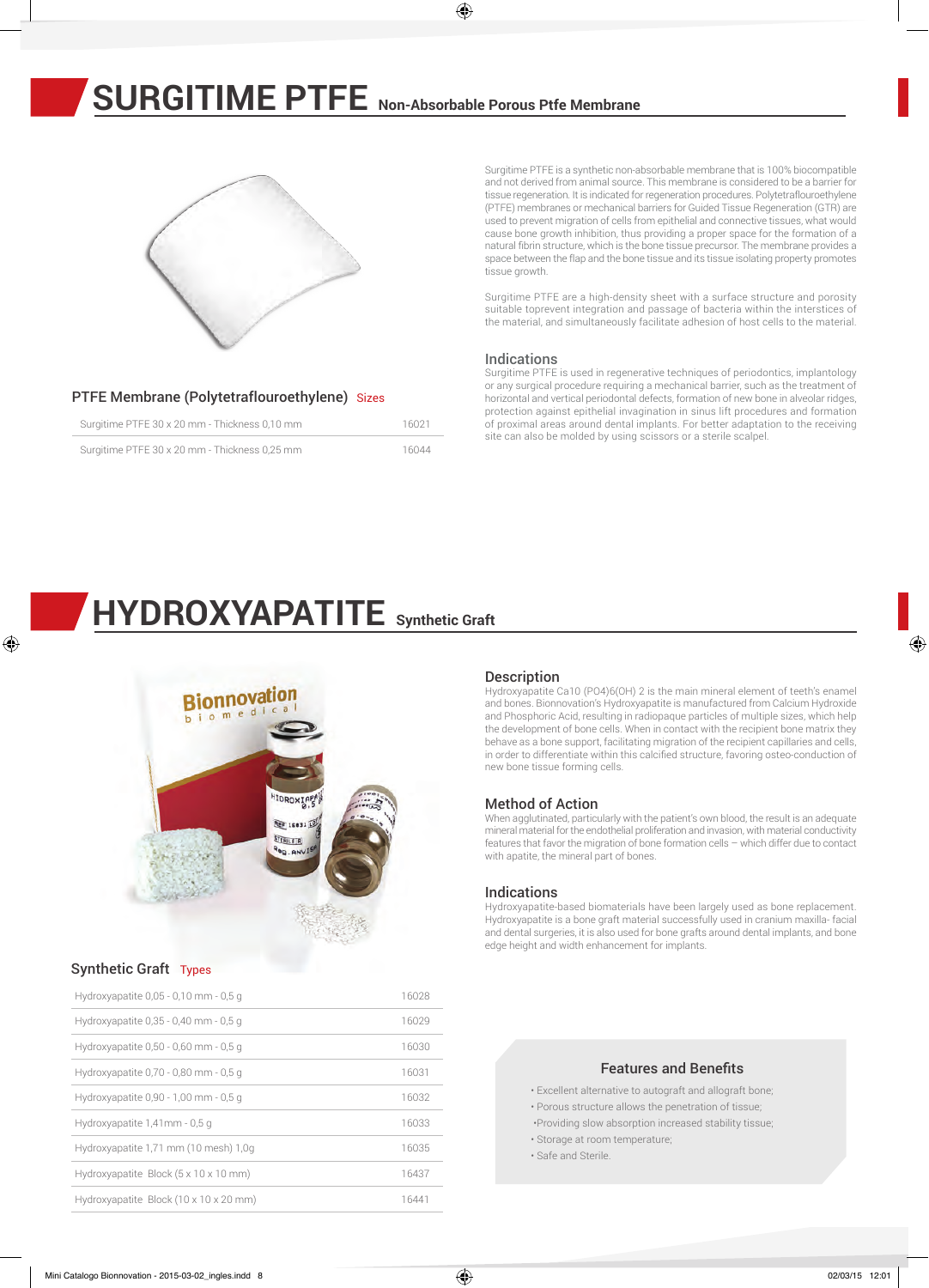## **SURGITIME PTFE Non-Absorbable Porous Ptfe Membrane**

⊕



Surgitime PTFE is a synthetic non-absorbable membrane that is 100% biocompatible and not derived from animal source. This membrane is considered to be a barrier for tissue regeneration. It is indicated for regeneration procedures. Polytetraflouroethylene (PTFE) membranes or mechanical barriers for Guided Tissue Regeneration (GTR) are used to prevent migration of cells from epithelial and connective tissues, what would cause bone growth inhibition, thus providing a proper space for the formation of a natural fibrin structure, which is the bone tissue precursor. The membrane provides a space between the flap and the bone tissue and its tissue isolating property promotes tissue growth.

Surgitime PTFE are a high-density sheet with a surface structure and porosity suitable toprevent integration and passage of bacteria within the interstices of the material, and simultaneously facilitate adhesion of host cells to the material.

#### Indications

### PTFE Membrane (Polytetraflouroethylene) Sizes

| Surgitime PTFE 30 x 20 mm - Thickness 0,10 mm | 16021 |
|-----------------------------------------------|-------|
| Surgitime PTFE 30 x 20 mm - Thickness 0,25 mm | 16044 |

Surgitime PTFE is used in regenerative techniques of periodontics, implantology or any surgical procedure requiring a mechanical barrier, such as the treatment of horizontal and vertical periodontal defects, formation of new bone in alveolar ridges, protection against epithelial invagination in sinus lift procedures and formation of proximal areas around dental implants. For better adaptation to the receiving site can also be molded by using scissors or a sterile scalpel.

## **HYDROXYAPATITE Synthetic Graft**



### Synthetic Graft Types

 $\bigoplus$ 

| Hydroxyapatite 0,05 - 0,10 mm - 0,5 g  | 16028 |
|----------------------------------------|-------|
| Hydroxyapatite 0,35 - 0,40 mm - 0,5 g  | 16029 |
| Hydroxyapatite 0,50 - 0,60 mm - 0,5 g  | 16030 |
| Hydroxyapatite 0,70 - 0,80 mm - 0,5 g  | 16031 |
| Hydroxyapatite 0,90 - 1,00 mm - 0,5 g  | 16032 |
| Hydroxyapatite 1,41mm - 0,5 g          | 16033 |
| Hydroxyapatite 1,71 mm (10 mesh) 1,0g  | 16035 |
| Hydroxyapatite Block (5 x 10 x 10 mm)  | 16437 |
| Hydroxyapatite Block (10 x 10 x 20 mm) | 16441 |

#### **Description**

Hydroxyapatite Ca10 (PO4)6(OH) 2 is the main mineral element of teeth's enamel and bones. Bionnovation's Hydroxyapatite is manufactured from Calcium Hydroxide and Phosphoric Acid, resulting in radiopaque particles of multiple sizes, which help the development of bone cells. When in contact with the recipient bone matrix they behave as a bone support, facilitating migration of the recipient capillaries and cells, in order to differentiate within this calcified structure, favoring osteo-conduction of new bone tissue forming cells.

#### Method of Action

When agglutinated, particularly with the patient's own blood, the result is an adequate mineral material for the endothelial proliferation and invasion, with material conductivity features that favor the migration of bone formation cells – which differ due to contact with apatite, the mineral part of bones.

#### **Indications**

Hydroxyapatite-based biomaterials have been largely used as bone replacement. Hydroxyapatite is a bone graft material successfully used in cranium maxilla- facial and dental surgeries, it is also used for bone grafts around dental implants, and bone edge height and width enhancement for implants.

#### Features and Benefits

• Excellent alternative to autograft and allograft bone;

- Porous structure allows the penetration of tissue;
- •Providing slow absorption increased stability tissue;
- Storage at room temperature;
- Safe and Sterile.

⊕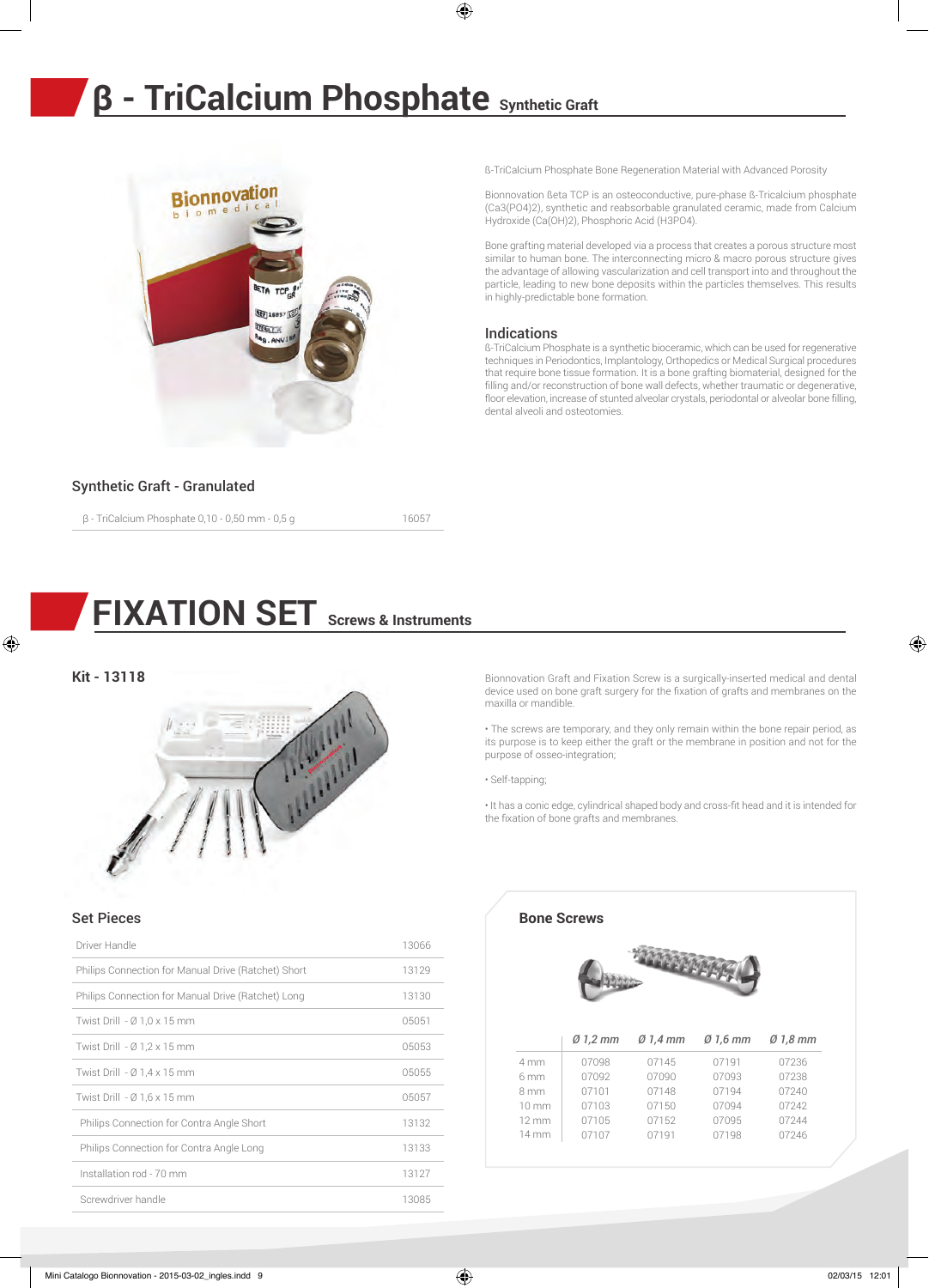## **β - TriCalcium Phosphate Synthetic Graft**



### ß-TriCalcium Phosphate Bone Regeneration Material with Advanced Porosity

Bionnovation ßeta TCP is an osteoconductive, pure-phase ß-Tricalcium phosphate (Ca3(PO4)2), synthetic and reabsorbable granulated ceramic, made from Calcium Hydroxide (Ca(OH)2), Phosphoric Acid (H3PO4).

Bone grafting material developed via a process that creates a porous structure most similar to human bone. The interconnecting micro & macro porous structure gives the advantage of allowing vascularization and cell transport into and throughout the particle, leading to new bone deposits within the particles themselves. This results in highly-predictable bone formation.

#### Indications

 $\bigoplus$ 

ß-TriCalcium Phosphate is a synthetic bioceramic, which can be used for regenerative techniques in Periodontics, Implantology, Orthopedics or Medical Surgical procedures that require bone tissue formation. It is a bone grafting biomaterial, designed for the filling and/or reconstruction of bone wall defects, whether traumatic or degenerative, floor elevation, increase of stunted alveolar crystals, periodontal or alveolar bone filling, dental alveoli and osteotomies.

#### Synthetic Graft - Granulated

β - TriCalcium Phosphate 0,10 - 0,50 mm - 0,5 g 16057

## **FIXATION SET Screws & Instruments**

**Kit - 13118**

 $\bigoplus$ 



Bionnovation Graft and Fixation Screw is a surgically-inserted medical and dental device used on bone graft surgery for the fixation of grafts and membranes on the maxilla or mandible.

• The screws are temporary, and they only remain within the bone repair period, as its purpose is to keep either the graft or the membrane in position and not for the purpose of osseo-integration;

• Self-tapping;

• It has a conic edge, cylindrical shaped body and cross-fit head and it is intended for the fixation of bone grafts and membranes.

### Set Pieces

| Driver Handle                                       | 13066 |
|-----------------------------------------------------|-------|
| Philips Connection for Manual Drive (Ratchet) Short | 13129 |
| Philips Connection for Manual Drive (Ratchet) Long  | 13130 |
| Twist Drill $-$ Ø 1,0 x 15 mm                       | 05051 |
| Twist Drill $-$ Ø 1,2 x 15 mm                       | 05053 |
| Twist Drill $-$ Ø 1,4 x 15 mm                       | 05055 |
| Twist Drill $-$ Ø 1,6 x 15 mm                       | 05057 |
| Philips Connection for Contra Angle Short           | 13132 |
| Philips Connection for Contra Angle Long            | 13133 |
| Installation rod - 70 mm                            | 13127 |
| Screwdriver handle                                  | 13085 |



⊕